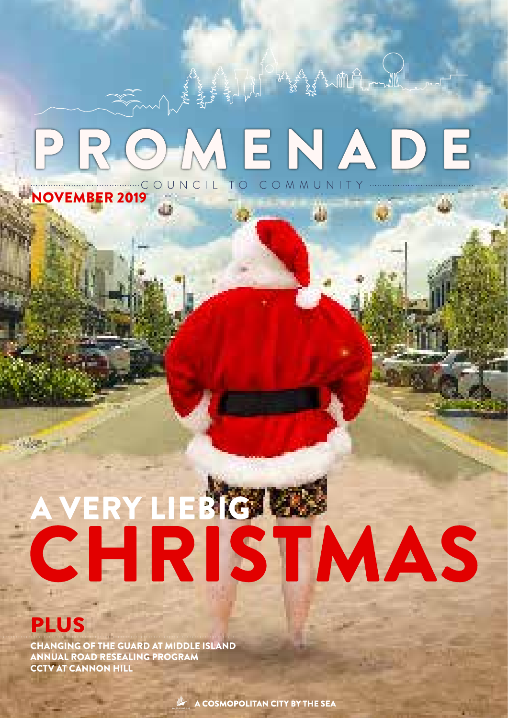# ROMENADE COUNCIL TO COMMUNITY

Ш

# CHRISTMAS

# **PLUS**

CHANGING OF THE GUARD AT MIDDLE ISLAND ANNUAL ROAD RESEALING PROGRAM CCTV AT CANNON HILL

A COSMOPOLITAN CITY BY THE SEA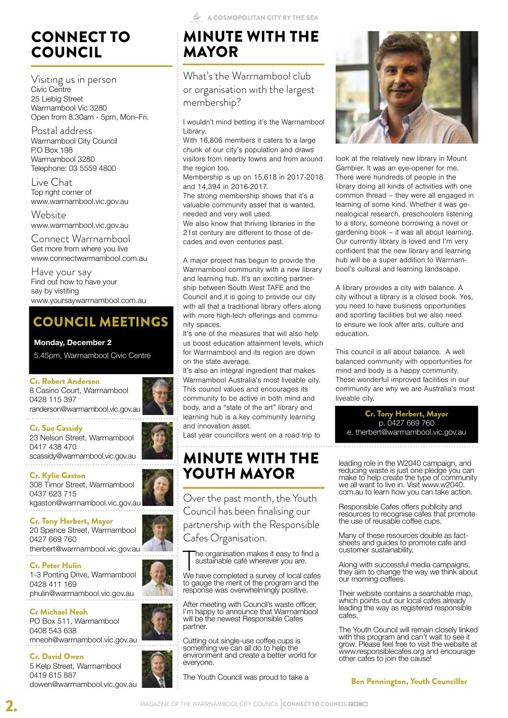# CONNECT TO COUNCIL

Visiting us in person Civic Centre 25 Liebig Street Warrnambool Vic 3280 Open from 8.30am - 5pm, Mon–Fri.

Postal address Warrnambool City Council P.O Box 198 Warrnambool 3280 Telephone: 03 5559 4800

Live Chat Top right corner of www.warrnambool.vic.gov.au

**Website** www.warrnambool.vic.gov.au

Connect Warrnambool Get more from where you live www.connectwarrnambool.com.au

Have your say Find out how to have your say by vistiting www.yoursaywarrnambool.com.au

# COUNCIL MEETINGS

#### **Monday, December 2**

5.45pm, Warrnambool Civic Centre

#### Cr. Robert Anderson

8 Casino Court, Warrnambool 0428 115 397 randerson@warrnambool.vic.gov.au 

Cr. Sue Cassidy

23 Nelson Street, Warrnambool 0417 438 470 scassidy@warrnambool.vic.gov.au

#### Cr. Kylie Gaston

308 Timor Street, Warrnambool 0437 623 715 kgaston@warrnambool.vic.gov.au

Cr. Tony Herbert, Mayor 20 Spence Street, Warrnambool 0427 669 760 therbert@warrnambool.vic.gov.au

#### Cr. Peter Hulin

1-3 Ponting Drive, Warrnambool 0428 411 169 phulin@warrnambool.vic.gov.au

#### Cr Michael Neoh

PO Box 511, Warrnambool 0408 543 638 mneoh@warrnambool.vic.gov.au

#### Cr. David Owen

5 Kelp Street, Warrnambool 0419 615 887 dowen@warrnambool.vic.gov.au

# MINUTE WITH THE MAYOR

What's the Warrnambool club or organisation with the largest membership?

I wouldn't mind betting it's the Warrnambool Library.

With 16,806 members it caters to a large chunk of our city's population and draws visitors from nearby towns and from around the region too.

Membership is up on 15,618 in 2017-2018 and 14,394 in 2016-2017.

The strong membership shows that it's a valuable community asset that is wanted, needed and very well used.

We also know that thriving libraries in the 21st century are different to those of decades and even centuries past.

A major project has begun to provide the Warrnambool community with a new library and learning hub. It's an exciting partnership between South West TAFE and the Council and it is going to provide our city with all that a traditional library offers along with more high-tech offerings and community spaces.

It's one of the measures that will also help us boost education attainment levels, which for Warrnambool and its region are down on the state average.

It's also an integral ingredient that makes Warrnambool Australia's most liveable city. This council values and encourages its community to be active in both mind and body, and a "state of the art" library and learning hub is a key community learning and innovation asset.

Last year councillors went on a road trip to 

# MINUTE WITH THE YOUTH MAYOR

Over the past month, the Youth Council has been finalising our partnership with the Responsible Cafes Organisation.

The organisation makes it easy to find a<br>sustainable café wherever you are.<br>We have completed a survey of local cafes he organisation makes it easy to find a sustainable café wherever you are.

to gauge the merit of the program and the response was overwhelmingly positive.

After meeting with Council's waste officer, I'm happy to announce that Warrnambool will be the newest Responsible Cafes partner.

Cutting out single-use coffee cups is something we can all do to help the environment and create a better world for everyone.

The Youth Council was proud to take a



look at the relatively new library in Mount Gambier. It was an eye-opener for me. There were hundreds of people in the library doing all kinds of activities with one common thread – they were all engaged in learning of some kind. Whether it was genealogical research, preschoolers listening to a story, someone borrowing a novel or gardening book – it was all about learning. Our currently library is loved and I'm very confident that the new library and learning hub will be a super addition to Warrnambool's cultural and learning landscape.

A library provides a city with balance. A city without a library is a closed book. Yes, you need to have business opportunities and sporting facilities but we also need to ensure we look after arts, culture and education.

This council is all about balance. A well balanced community with opportunities for mind and body is a happy community. These wonderful improved facilities in our community are why we are Australia's most liveable city.

Cr. Tony Herbert, Mayor p. 0427 669 760 e. therbert@warrnambool.vic.gov.au

leading role in the W2040 campaign, and reducing waste is just one pledge you can make to help create the type of community we all want to live in. Visit www.w2040 com.au to learn how you can take action.

Responsible Cafes offers publicity and resources to recognise cafes that promote the use of reusable coffee cups.

Many of these resources double as factsheets and guides to promote cafe and customer sustainability.

Along with successful media campaigns, they aim to change the way we think about our morning coffees.

Their website contains a searchable map, which points out our local cafes already leading the way as registered responsible cafes.

The Youth Council will remain closely linked with this program and can't wait to see it grow. Please feel free to visit the website at www.responsiblecafes.org and encourage other cafes to join the cause!

Ben Pennington, Youth Councillor









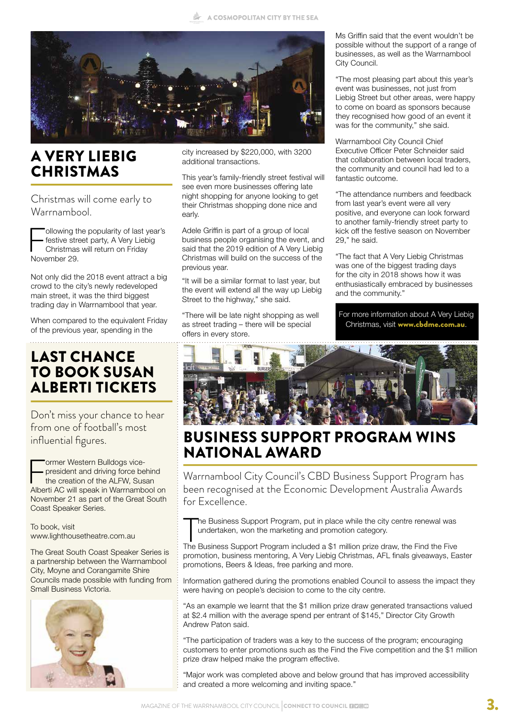

# A VERY LIEBIG **CHRISTMAS**

Christmas will come early to Warrnambool.

ollowing the popularity of last year's festive street party, A Very Liebig Christmas will return on Friday November 29.

Not only did the 2018 event attract a big crowd to the city's newly redeveloped main street, it was the third biggest trading day in Warrnambool that year.

When compared to the equivalent Friday of the previous year, spending in the

# LAST CHANCE TO BOOK SUSAN ALBERTI TICKETS

Don't miss your chance to hear from one of football's most influential figures.

Former Western Bulldogs vice-<br>president and driving force be<br>the creation of the ALFW, Sus<br>Alberti AC will speak in Warrnamb president and driving force behind the creation of the ALFW, Susan Alberti AC will speak in Warrnambool on November 21 as part of the Great South Coast Speaker Series.

To book, visit www.lighthousetheatre.com.au

The Great South Coast Speaker Series is a partnership between the Warrnambool City, Moyne and Corangamite Shire Councils made possible with funding from Small Business Victoria.



city increased by \$220,000, with 3200 additional transactions.

This year's family-friendly street festival will see even more businesses offering late night shopping for anyone looking to get their Christmas shopping done nice and early.

Adele Griffin is part of a group of local business people organising the event, and said that the 2019 edition of A Very Liebig Christmas will build on the success of the previous year.

"It will be a similar format to last year, but the event will extend all the way up Liebig Street to the highway," she said.

"There will be late night shopping as well as street trading – there will be special offers in every store.

Ms Griffin said that the event wouldn't be possible without the support of a range of businesses, as well as the Warrnambool City Council.

"The most pleasing part about this year's event was businesses, not just from Liebig Street but other areas, were happy to come on board as sponsors because they recognised how good of an event it was for the community," she said.

Warrnambool City Council Chief Executive Officer Peter Schneider said that collaboration between local traders, the community and council had led to a fantastic outcome.

"The attendance numbers and feedback from last year's event were all very positive, and everyone can look forward to another family-friendly street party to kick off the festive season on November 29," he said.

"The fact that A Very Liebig Christmas was one of the biggest trading days for the city in 2018 shows how it was enthusiastically embraced by businesses and the community."

For more information about A Very Liebig Christmas, visit www.cbdme.com.au.



# BUSINESS SUPPORT PROGRAM WINS NATIONAL AWARD

Warrnambool City Council's CBD Business Support Program has been recognised at the Economic Development Australia Awards for Excellence.

The Business Support Program, put in place while the city centre renewal was undertaken, won the marketing and promotion category.<br>The Business Support Program included a \$1 million prize draw, the Find the Five he Business Support Program, put in place while the city centre renewal was undertaken, won the marketing and promotion category.

promotion, business mentoring, A Very Liebig Christmas, AFL finals giveaways, Easter promotions, Beers & Ideas, free parking and more.

Information gathered during the promotions enabled Council to assess the impact they were having on people's decision to come to the city centre.

"As an example we learnt that the \$1 million prize draw generated transactions valued at \$2.4 million with the average spend per entrant of \$145," Director City Growth Andrew Paton said.

"The participation of traders was a key to the success of the program; encouraging customers to enter promotions such as the Find the Five competition and the \$1 million prize draw helped make the program effective.

"Major work was completed above and below ground that has improved accessibility and created a more welcoming and inviting space."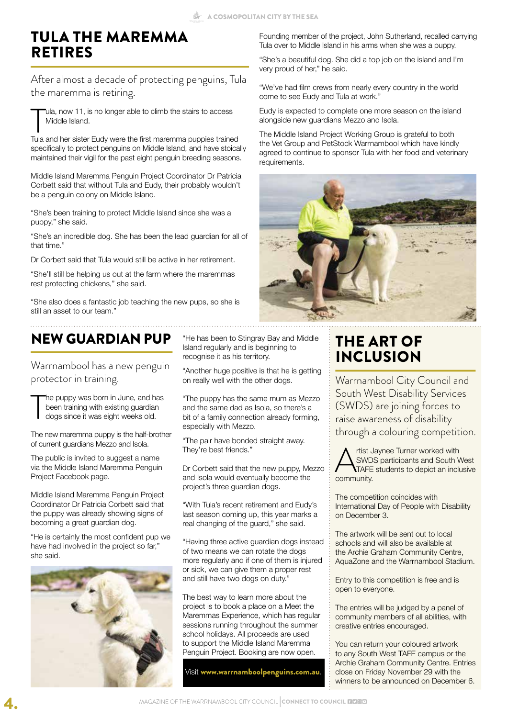# TULA THE MAREMMA RETIRES

After almost a decade of protecting penguins, Tula the maremma is retiring.

Tula, now 11, is no longer able to climb the stairs to access<br>Middle Island.<br>Tula and her sister Eudy were the first maremma puppies trained ula, now 11, is no longer able to climb the stairs to access Middle Island.

specifically to protect penguins on Middle Island, and have stoically maintained their vigil for the past eight penguin breeding seasons.

Middle Island Maremma Penguin Project Coordinator Dr Patricia Corbett said that without Tula and Eudy, their probably wouldn't be a penguin colony on Middle Island.

"She's been training to protect Middle Island since she was a puppy," she said.

"She's an incredible dog. She has been the lead guardian for all of that time."

Dr Corbett said that Tula would still be active in her retirement.

"She'll still be helping us out at the farm where the maremmas rest protecting chickens," she said.

"She also does a fantastic job teaching the new pups, so she is still an asset to our team."

# NEW GUARDIAN PUP

Warrnambool has a new penguin protector in training.

T he puppy was born in June, and has been training with existing guardian dogs since it was eight weeks old.

The new maremma puppy is the half-brother of current guardians Mezzo and Isola.

The public is invited to suggest a name via the Middle Island Maremma Penguin Project Facebook page.

Middle Island Maremma Penguin Project Coordinator Dr Patricia Corbett said that the puppy was already showing signs of becoming a great guardian dog.

"He is certainly the most confident pup we have had involved in the project so far," she said.



"He has been to Stingray Bay and Middle Island regularly and is beginning to recognise it as his territory.

"Another huge positive is that he is getting on really well with the other dogs.

"The puppy has the same mum as Mezzo and the same dad as Isola, so there's a bit of a family connection already forming, especially with Mezzo.

"The pair have bonded straight away. They're best friends."

Dr Corbett said that the new puppy, Mezzo and Isola would eventually become the project's three guardian dogs.

"With Tula's recent retirement and Eudy's last season coming up, this year marks a real changing of the guard," she said.

"Having three active guardian dogs instead of two means we can rotate the dogs more regularly and if one of them is injured or sick, we can give them a proper rest and still have two dogs on duty."

The best way to learn more about the project is to book a place on a Meet the Maremmas Experience, which has regular sessions running throughout the summer school holidays. All proceeds are used to support the Middle Island Maremma Penguin Project. Booking are now open.

Visit www.warrnamboolpenguins.com.au.

Founding member of the project, John Sutherland, recalled carrying Tula over to Middle Island in his arms when she was a puppy.

"She's a beautiful dog. She did a top job on the island and I'm very proud of her," he said.

"We've had film crews from nearly every country in the world come to see Eudy and Tula at work."

Eudy is expected to complete one more season on the island alongside new guardians Mezzo and Isola.

The Middle Island Project Working Group is grateful to both the Vet Group and PetStock Warrnambool which have kindly agreed to continue to sponsor Tula with her food and veterinary requirements.



# THE ART OF INCLUSION

Warrnambool City Council and South West Disability Services (SWDS) are joining forces to raise awareness of disability through a colouring competition.



The competition coincides with International Day of People with Disability on December 3.

The artwork will be sent out to local schools and will also be available at the Archie Graham Community Centre, AquaZone and the Warrnambool Stadium.

Entry to this competition is free and is open to everyone.

The entries will be judged by a panel of community members of all abilities, with creative entries encouraged.

You can return your coloured artwork to any South West TAFE campus or the Archie Graham Community Centre. Entries close on Friday November 29 with the winners to be announced on December 6.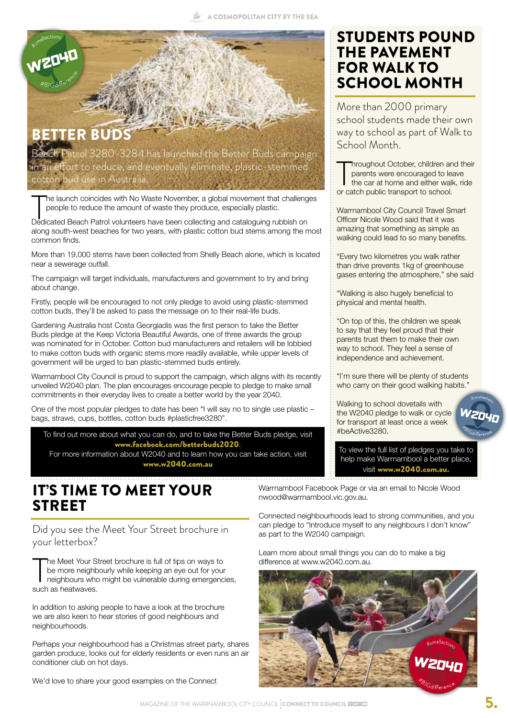

in an effort to reduce, and eventually eliminate, plastic-stemmed cotton bud use in Australia.

The launch coincides with No Waste November, a global movement that challeng<br>people to reduce the amount of waste they produce, especially plastic.<br>Dedicated Beach Patrol volunteers have been collecting and cataloguing rub he launch coincides with No Waste November, a global movement that challenges people to reduce the amount of waste they produce, especially plastic.

along south-west beaches for two years, with plastic cotton bud stems among the most common finds.

More than 19,000 stems have been collected from Shelly Beach alone, which is located near a sewerage outfall.

The campaign will target individuals, manufacturers and government to try and bring about change.

Firstly, people will be encouraged to not only pledge to avoid using plastic-stemmed cotton buds, they'll be asked to pass the message on to their real-life buds.

Gardening Australia host Costa Georgiadis was the first person to take the Better Buds pledge at the Keep Victoria Beautiful Awards, one of three awards the group was nominated for in October. Cotton bud manufacturers and retailers will be lobbied to make cotton buds with organic stems more readily available, while upper levels of government will be urged to ban plastic-stemmed buds entirely.

Warrnambool City Council is proud to support the campaign, which aligns with its recently unveiled W2040 plan. The plan encourages encourage people to pledge to make small commitments in their everyday lives to create a better world by the year 2040.

One of the most popular pledges to date has been "I will say no to single use plastic – bags, straws, cups, bottles, cotton buds #plasticfree3280".

To find out more about what you can do, and to take the Better Buds pledge, visit www.facebook.com/betterbuds2020. For more information about W2040 and to learn how you can take action, visit

www.w2040.com.au

## IT'S TIME TO MEET YOUR STREET

Did you see the Meet Your Street brochure in your letterbox?

The Meet Your S<br>be more neighb<br>neighbours who<br>such as heatwaves. he Meet Your Street brochure is full of tips on ways to be more neighbourly while keeping an eye out for your neighbours who might be vulnerable during emergencies,

In addition to asking people to have a look at the brochure we are also keen to hear stories of good neighbours and neighbourhoods.

Perhaps your neighbourhood has a Christmas street party, shares garden produce, looks out for elderly residents or even runs an air conditioner club on hot days.

We'd love to share your good examples on the Connect

STUDENTS POUND THE PAVEMENT FOR WALK TO SCHOOL MONTH

More than 2000 primary school students made their own way to school as part of Walk to School Month.

Throughout October, children and parents were encouraged to le<br>the car at home and either wal<br>or catch public transport to school. **Throughout October, children and their** parents were encouraged to leave the car at home and either walk, ride

Warrnambool City Council Travel Smart Officer Nicole Wood said that it was amazing that something as simple as walking could lead to so many benefits.

"Every two kilometres you walk rather than drive prevents 1kg of greenhouse gases entering the atmosphere," she said

"Walking is also hugely beneficial to physical and mental health.

"On top of this, the children we speak to say that they feel proud that their parents trust them to make their own way to school. They feel a sense of independence and achievement.

"I'm sure there will be plenty of students who carry on their good walking habits."

Walking to school dovetails with the W2040 pledge to walk or cycle for transport at least once a week #beActive3280.

To view the full list of pledges you take to help make Warrnambool a better place, visit www.w2040.com.au.

Warrnambool Facebook Page or via an email to Nicole Wood nwood@warrnambool.vic.gov.au.

Connected neighbourhoods lead to strong communities, and you can pledge to "Introduce myself to any neighbours I don't know" as part to the W2040 campaign.

Learn more about small things you can do to make a big difference at www.w2040.com.au.

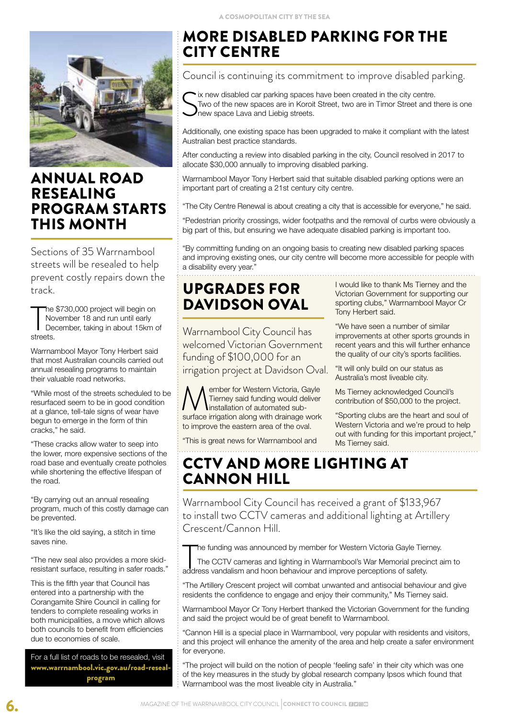

### ANNUAL ROAD RESEALING PROGRAM STARTS THIS MONTH

Sections of 35 Warrnambool streets will be resealed to help prevent costly repairs down the track.

The<br>
No<br>
streets. he \$730,000 project will begin on November 18 and run until early December, taking in about 15km of

Warrnambool Mayor Tony Herbert said that most Australian councils carried out annual resealing programs to maintain their valuable road networks.

"While most of the streets scheduled to be resurfaced seem to be in good condition at a glance, tell-tale signs of wear have begun to emerge in the form of thin cracks," he said.

"These cracks allow water to seep into the lower, more expensive sections of the road base and eventually create potholes while shortening the effective lifespan of the road.

"By carrying out an annual resealing program, much of this costly damage can be prevented.

"It's like the old saying, a stitch in time saves nine.

"The new seal also provides a more skidresistant surface, resulting in safer roads."

This is the fifth year that Council has entered into a partnership with the Corangamite Shire Council in calling for tenders to complete resealing works in both municipalities, a move which allows both councils to benefit from efficiencies due to economies of scale.

For a full list of roads to be resealed, visit www.warrnambool.vic.gov.au/road-resealprogram

# MORE DISABLED PARKING FOR THE CITY CENTRE

Council is continuing its commitment to improve disabled parking.

Six new disabled car parking spaces have been created in the city centre.<br>Two of the new spaces are in Koroit Street, two are in Timor Street and the new space Lava and Liebig streets. Two of the new spaces are in Koroit Street, two are in Timor Street and there is one new space Lava and Liebig streets.

Additionally, one existing space has been upgraded to make it compliant with the latest Australian best practice standards.

After conducting a review into disabled parking in the city, Council resolved in 2017 to allocate \$30,000 annually to improving disabled parking.

Warrnambool Mayor Tony Herbert said that suitable disabled parking options were an important part of creating a 21st century city centre.

"The City Centre Renewal is about creating a city that is accessible for everyone," he said.

"Pedestrian priority crossings, wider footpaths and the removal of curbs were obviously a big part of this, but ensuring we have adequate disabled parking is important too.

"By committing funding on an ongoing basis to creating new disabled parking spaces and improving existing ones, our city centre will become more accessible for people with a disability every year."

# UPGRADES FOR DAVIDSON OVAL

Warrnambool City Council has welcomed Victorian Government funding of \$100,000 for an irrigation project at Davidson Oval.

**Member for Western Victoria, Gayle Tierney said funding would deliver installation of automated subsurface irrigation along with drainage work** Tierney said funding would deliver installation of automated subsurface irrigation along with drainage work to improve the eastern area of the oval.

"This is great news for Warrnambool and 

I would like to thank Ms Tierney and the Victorian Government for supporting our sporting clubs," Warrnambool Mayor Cr Tony Herbert said.

"We have seen a number of similar improvements at other sports grounds in recent years and this will further enhance the quality of our city's sports facilities.

"It will only build on our status as Australia's most liveable city.

Ms Tierney acknowledged Council's contribution of \$50,000 to the project.

"Sporting clubs are the heart and soul of Western Victoria and we're proud to help out with funding for this important project," Ms Tierney said.

# CCTV AND MORE LIGHTING AT CANNON HILL

Warrnambool City Council has received a grant of \$133,967 to install two CCTV cameras and additional lighting at Artillery Crescent/Cannon Hill.

he funding was announced by member for Western Victoria Gayle Tierney.

The funding was announced by member for Western Victoria Gayle Tier.<br>The CCTV cameras and lighting in Warrnambool's War Memorial preci<br>address vandalism and hoon behaviour and improve perceptions of safety. The CCTV cameras and lighting in Warrnambool's War Memorial precinct aim to

"The Artillery Crescent project will combat unwanted and antisocial behaviour and give residents the confidence to engage and enjoy their community," Ms Tierney said.

Warrnambool Mayor Cr Tony Herbert thanked the Victorian Government for the funding and said the project would be of great benefit to Warrnambool.

"Cannon Hill is a special place in Warrnambool, very popular with residents and visitors, and this project will enhance the amenity of the area and help create a safer environment for everyone.

"The project will build on the notion of people 'feeling safe' in their city which was one of the key measures in the study by global research company Ipsos which found that Warrnambool was the most liveable city in Australia."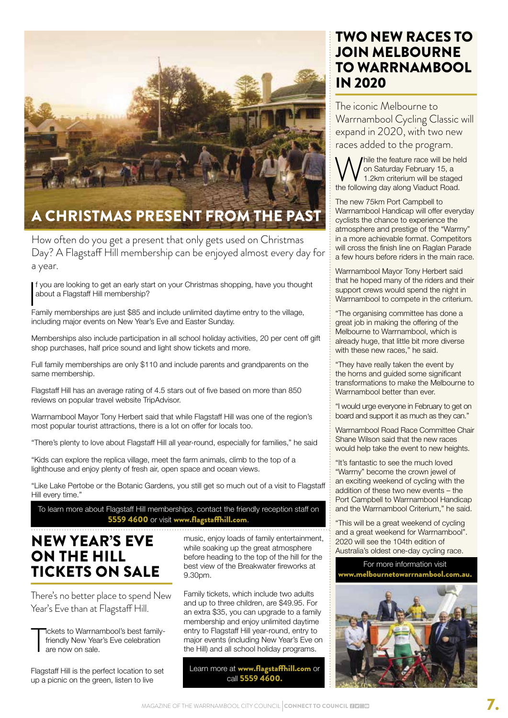

# A CHRISTMAS PRESENT FROM THE PAST

How often do you get a present that only gets used on Christmas Day? A Flagstaff Hill membership can be enjoyed almost every day for a year.

If you are looking to get an early start on your Christmas shopping, have you though about a Flagstaff Hill membership?<br>Family memberships are just \$85 and include unlimited daytime entry to the village, f you are looking to get an early start on your Christmas shopping, have you thought about a Flagstaff Hill membership?

including major events on New Year's Eve and Easter Sunday.

Memberships also include participation in all school holiday activities, 20 per cent off gift shop purchases, half price sound and light show tickets and more.

Full family memberships are only \$110 and include parents and grandparents on the same membership.

Flagstaff Hill has an average rating of 4.5 stars out of five based on more than 850 reviews on popular travel website TripAdvisor.

Warrnambool Mayor Tony Herbert said that while Flagstaff Hill was one of the region's most popular tourist attractions, there is a lot on offer for locals too.

"There's plenty to love about Flagstaff Hill all year-round, especially for families," he said

"Kids can explore the replica village, meet the farm animals, climb to the top of a lighthouse and enjoy plenty of fresh air, open space and ocean views.

"Like Lake Pertobe or the Botanic Gardens, you still get so much out of a visit to Flagstaff Hill every time."

To learn more about Flagstaff Hill memberships, contact the friendly reception staff on 5559 4600 or visit www.flagstaffhill.com.

## NEW YEAR'S EVE ON THE HILL TICKETS ON SALE

There's no better place to spend New Year's Eve than at Flagstaff Hill.

T ickets to Warrnambool's best familyfriendly New Year's Eve celebration are now on sale.

Flagstaff Hill is the perfect location to set up a picnic on the green, listen to live

music, enjoy loads of family entertainment, while soaking up the great atmosphere before heading to the top of the hill for the best view of the Breakwater fireworks at 9.30pm.

Family tickets, which include two adults and up to three children, are \$49.95. For an extra \$35, you can upgrade to a family membership and enjoy unlimited daytime entry to Flagstaff Hill year-round, entry to major events (including New Year's Eve on the Hill) and all school holiday programs.

Learn more at www.flagstaffhill.com or call 5559 4600.

### TWO NEW RACES TO JOIN MELBOURNE TO WARRNAMBOOL IN 2020

The iconic Melbourne to Warrnambool Cycling Classic will expand in 2020, with two new races added to the program.

hile the feature race will be held on Saturday February 15, a 1.2km criterium will be staged the following day along Viaduct Road.

The new 75km Port Campbell to Warrnambool Handicap will offer everyday cyclists the chance to experience the atmosphere and prestige of the "Warrny" in a more achievable format. Competitors will cross the finish line on Raglan Parade a few hours before riders in the main race.

Warrnambool Mayor Tony Herbert said that he hoped many of the riders and their support crews would spend the night in Warrnambool to compete in the criterium.

"The organising committee has done a great job in making the offering of the Melbourne to Warrnambool, which is already huge, that little bit more diverse with these new races," he said.

"They have really taken the event by the horns and guided some significant transformations to make the Melbourne to Warrnambool better than ever.

"I would urge everyone in February to get on board and support it as much as they can."

Warrnambool Road Race Committee Chair Shane Wilson said that the new races would help take the event to new heights.

"It's fantastic to see the much loved "Warrny" become the crown jewel of an exciting weekend of cycling with the addition of these two new events – the Port Campbell to Warrnambool Handicap and the Warrnambool Criterium," he said.

"This will be a great weekend of cycling and a great weekend for Warrnambool". 2020 will see the 104th edition of Australia's oldest one-day cycling race.

#### For more information visit www.melbournetowarrnambool.com.au.